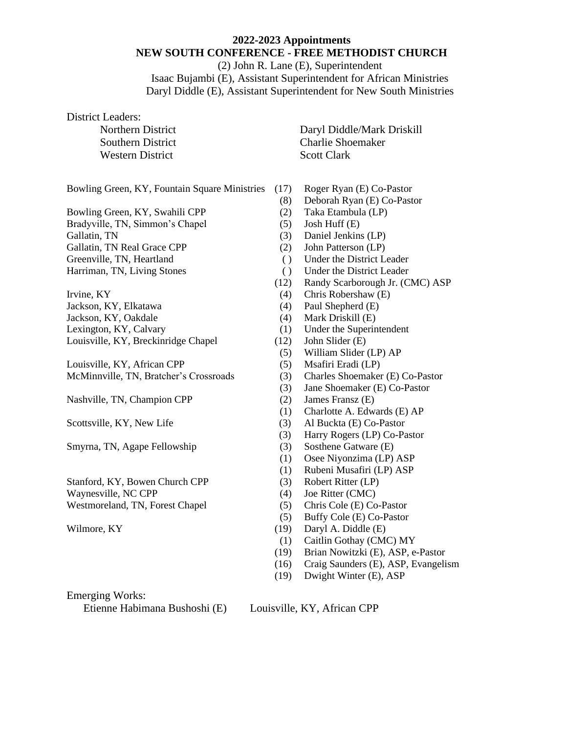# **2022-2023 Appointments NEW SOUTH CONFERENCE - FREE METHODIST CHURCH**

(2) John R. Lane (E), Superintendent Isaac Bujambi (E), Assistant Superintendent for African Ministries Daryl Diddle (E), Assistant Superintendent for New South Ministries

District Leaders:

Western District Scott Clark

Bowling Green, KY, Fountain Square Ministries (17) Roger Ryan (E) Co-Pastor

Bowling Green, KY, Swahili CPP (2) Taka Etambula (LP)

Bradyville, TN, Simmon's Chapel (5) Josh Huff (E)

- 
- 
- 

- 
- 
- 

Louisville, KY, Breckinridge Chapel (12) John Slider (E)

Louisville, KY, African CPP (5) Msafiri Eradi (LP) McMinnville, TN, Bratcher's Crossroads (3) Charles Shoemaker (E) Co-Pastor

Nashville, TN, Champion CPP (2) James Fransz (E)

Smyrna, TN, Agape Fellowship (3) Sosthene Gatware (E)

Stanford, KY, Bowen Church CPP (3) Robert Ritter (LP) Waynesville, NC CPP (4) Joe Ritter (CMC) Westmoreland, TN, Forest Chapel (5) Chris Cole (E) Co-Pastor

Emerging Works:

Etienne Habimana Bushoshi (E) Louisville, KY, African CPP

Northern District Daryl Diddle/Mark Driskill Southern District Charlie Shoemaker

- 
- (8) Deborah Ryan (E) Co-Pastor
- 
- 
- Gallatin, TN (3) Daniel Jenkins (LP)
- Gallatin, TN Real Grace CPP (2) John Patterson (LP)
- Greenville, TN, Heartland ( ) Under the District Leader
- Harriman, TN, Living Stones ( ) Under the District Leader
	- (12) Randy Scarborough Jr. (CMC) ASP
- Irvine, KY (4) Chris Robershaw (E)
- Jackson, KY, Elkatawa (4) Paul Shepherd (E)
- Jackson, KY, Oakdale (4) Mark Driskill (E)
- Lexington, KY, Calvary (1) Under the Superintendent
	-
	- (5) William Slider (LP) AP
	-
	-
	- (3) Jane Shoemaker (E) Co-Pastor
	-
	- (1) Charlotte A. Edwards (E) AP
- Scottsville, KY, New Life (3) Al Buckta (E) Co-Pastor
	- (3) Harry Rogers (LP) Co-Pastor
	-
	- (1) Osee Niyonzima (LP) ASP
	- (1) Rubeni Musafiri (LP) ASP
	-
	-
	-
	- (5) Buffy Cole (E) Co-Pastor
- Wilmore, KY (19) Daryl A. Diddle (E)
	- (1) Caitlin Gothay (CMC) MY
	- (19) Brian Nowitzki (E), ASP, e-Pastor
	- (16) Craig Saunders (E), ASP, Evangelism
	- (19) Dwight Winter (E), ASP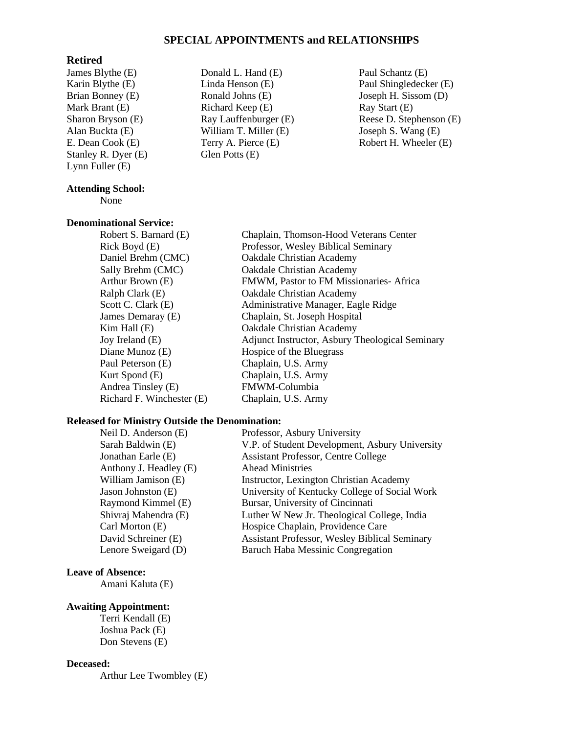# **SPECIAL APPOINTMENTS and RELATIONSHIPS**

## **Retired**

James Blythe (E) Karin Blythe (E) Brian Bonney (E) Mark Brant (E) Sharon Bryson (E) Alan Buckta (E) E. Dean Cook (E) Stanley R. Dyer (E) Lynn Fuller (E)

# **Attending School:**

### None

#### **Denominational Service:**

Paul Peterson (E) Chaplain, U.S. Army Kurt Spond (E) Chaplain, U.S. Army Andrea Tinsley (E) FMWM-Columbia Richard F. Winchester (E) Chaplain, U.S. Army

- Donald L. Hand (E) Linda Henson (E) Ronald Johns (E) Richard Keep (E) Ray Lauffenburger (E) William T. Miller (E) Terry A. Pierce (E) Glen Potts (E)
- Paul Schantz (E) Paul Shingledecker (E) Joseph H. Sissom (D) Ray Start (E) Reese D. Stephenson (E) Joseph S. Wang (E) Robert H. Wheeler (E)

Robert S. Barnard (E) Chaplain, Thomson-Hood Veterans Center Rick Boyd (E) Professor, Wesley Biblical Seminary Daniel Brehm (CMC) Oakdale Christian Academy Sally Brehm (CMC) Oakdale Christian Academy Arthur Brown (E) FMWM, Pastor to FM Missionaries- Africa Ralph Clark (E) Oakdale Christian Academy Scott C. Clark (E) Administrative Manager, Eagle Ridge James Demaray (E) Chaplain, St. Joseph Hospital Kim Hall (E) Cakdale Christian Academy Joy Ireland (E) Adjunct Instructor, Asbury Theological Seminary Diane Munoz (E) Hospice of the Bluegrass

#### **Released for Ministry Outside the Denomination:**

Anthony J. Headley (E) Ahead Ministries

Neil D. Anderson (E) Professor, Asbury University Sarah Baldwin (E) V.P. of Student Development, Asbury University Jonathan Earle (E) Assistant Professor, Centre College William Jamison (E) **Instructor**, Lexington Christian Academy Jason Johnston (E) University of Kentucky College of Social Work Raymond Kimmel (E) Bursar, University of Cincinnati Shivraj Mahendra (E) Luther W New Jr. Theological College, India Carl Morton (E) Hospice Chaplain, Providence Care David Schreiner (E) Assistant Professor, Wesley Biblical Seminary Lenore Sweigard (D) Baruch Haba Messinic Congregation

# **Leave of Absence:**

Amani Kaluta (E)

#### **Awaiting Appointment:**

Terri Kendall (E) Joshua Pack (E) Don Stevens (E)

#### **Deceased:**

Arthur Lee Twombley (E)